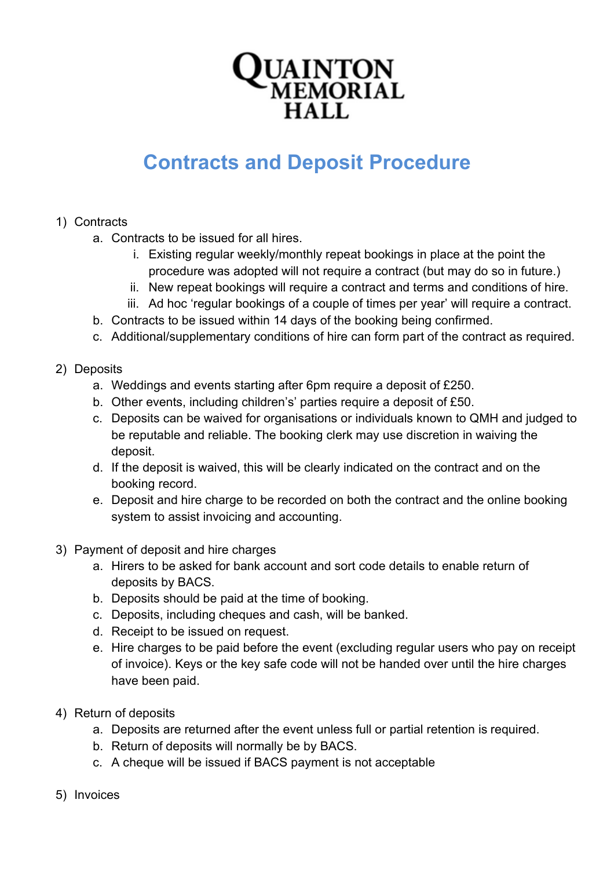

## **Contracts and Deposit Procedure**

- 1) Contracts
	- a. Contracts to be issued for all hires.
		- i. Existing regular weekly/monthly repeat bookings in place at the point the procedure was adopted will not require a contract (but may do so in future.)
		- ii. New repeat bookings will require a contract and terms and conditions of hire.
		- iii. Ad hoc 'regular bookings of a couple of times per year' will require a contract.
	- b. Contracts to be issued within 14 days of the booking being confirmed.
	- c. Additional/supplementary conditions of hire can form part of the contract as required.
- 2) Deposits
	- a. Weddings and events starting after 6pm require a deposit of £250.
	- b. Other events, including children's' parties require a deposit of £50.
	- c. Deposits can be waived for organisations or individuals known to QMH and judged to be reputable and reliable. The booking clerk may use discretion in waiving the deposit.
	- d. If the deposit is waived, this will be clearly indicated on the contract and on the booking record.
	- e. Deposit and hire charge to be recorded on both the contract and the online booking system to assist invoicing and accounting.
- 3) Payment of deposit and hire charges
	- a. Hirers to be asked for bank account and sort code details to enable return of deposits by BACS.
	- b. Deposits should be paid at the time of booking.
	- c. Deposits, including cheques and cash, will be banked.
	- d. Receipt to be issued on request.
	- e. Hire charges to be paid before the event (excluding regular users who pay on receipt of invoice). Keys or the key safe code will not be handed over until the hire charges have been paid.
- 4) Return of deposits
	- a. Deposits are returned after the event unless full or partial retention is required.
	- b. Return of deposits will normally be by BACS.
	- c. A cheque will be issued if BACS payment is not acceptable
- 5) Invoices